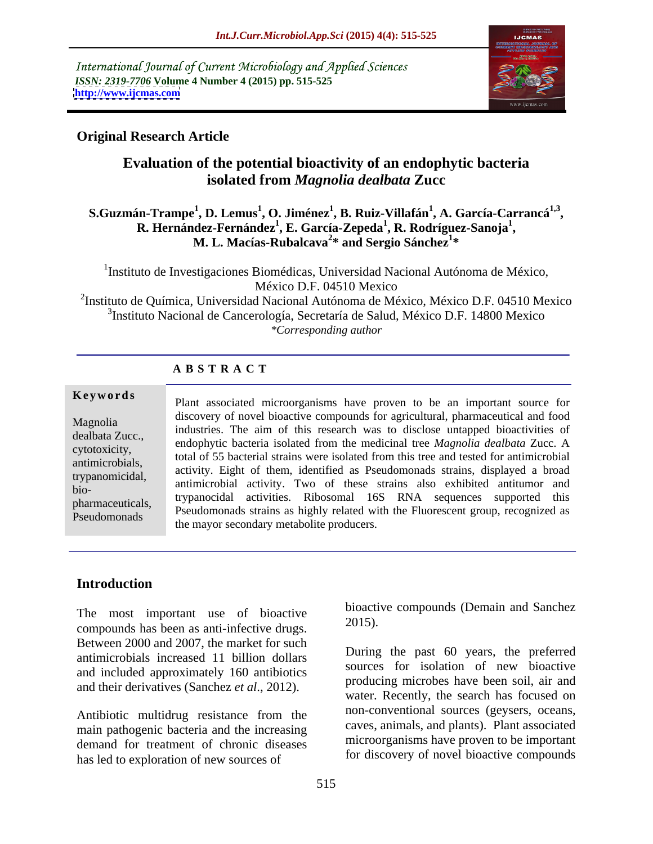International Journal of Current Microbiology and Applied Sciences *ISSN: 2319-7706* **Volume 4 Number 4 (2015) pp. 515-525 <http://www.ijcmas.com>**



### **Original Research Article**

## **Evaluation of the potential bioactivity of an endophytic bacteria isolated from** *Magnolia dealbata* **Zucc**

### **S.Guzmán-Trampe<sup>1</sup> , D. Lemus<sup>1</sup> , O. Jiménez<sup>1</sup> , B. Ruiz-Villafán<sup>1</sup> , A. García-Carrancá1,3** in-Trampe<sup>1</sup>, D. Lemus<sup>1</sup>, O. Jiménez<sup>1</sup>, B. Ruiz-Villafán<sup>1</sup>, A. García-Carrancá<sup>1,3</sup>,<br>R. Hernández-Fernández<sup>1</sup>, E. García-Zepeda<sup>1</sup>, R. Rodríguez-Sanoja<sup>1</sup>, **, R. Rodríguez-Sanoja<sup>1</sup> M. L. Macías-Rubalcava<sup>2\*</sup> and Sergio Sánchez<sup>1\*</sup> \* and Sergio Sánchez<sup>1</sup> \***

<sup>1</sup>Instituto de Investigaciones Biomédicas, Universidad Nacional Autónoma de México, México D.F. 04510 Mexico  $^{2}$ Instituto de Química, Universidad Nacional Autónoma de México, México D.F. 04510 Mexico

3 Instituto Nacional de Cancerología, Secretaría de Salud, México D.F. 14800 Mexico *\*Corresponding author*

### **A B S T R A C T**

Pseudomonads

**Keywords** Plant associated microorganisms have proven to be an important source for discovery of novel bioactive compounds for agricultural, pharmaceutical and food Magnolia<br>
industries. The aim of this research was to disclose untapped bioactivities of dealbata Zucc.,<br>endophytic bacteria isolated from the medicinal tree *Magnolia dealbata* Zucc. A expression endophysic bacterial strains were isolated from this tree and tested for antimicrobial cytotoxicity, antimicrobials,<br>transposition activity. Eight of them, identified as Pseudomonads strains, displayed a broad trypanomicidal, activity. Eight of them, identified as I seddomonads strains, displayed a broad<br>high bio-<br>hermoequicale trypanocidal activities. Ribosomal 16S RNA sequences supported this pharmaceuticals, a expandent activities. Ribosoman 105 RNA sequences supported this<br>Providence of Pseudomonads strains as highly related with the Fluorescent group, recognized as the mayor secondary metabolite producers.

### **Introduction**

The most important use of bioactive  $\frac{1}{2015}$ . compounds has been as anti-infective drugs. Between 2000 and 2007, the market for such antimicrobials increased 11 billion dollars and included approximately 160 antibiotics and their derivatives (Sanchez *et al*., 2012).

Antibiotic multidrug resistance from the main pathogenic bacteria and the increasing demand for treatment of chronic diseases has led to exploration of new sources of

bioactive compounds (Demain and Sanchez 2015).

During the past  $60$  years, the preferred sources for isolation of new bioactive producing microbes have been soil, air and water. Recently, the search has focused on non-conventional sources (geysers, oceans, caves, animals, and plants). Plant associated microorganisms have proven to be important for discovery of novel bioactive compounds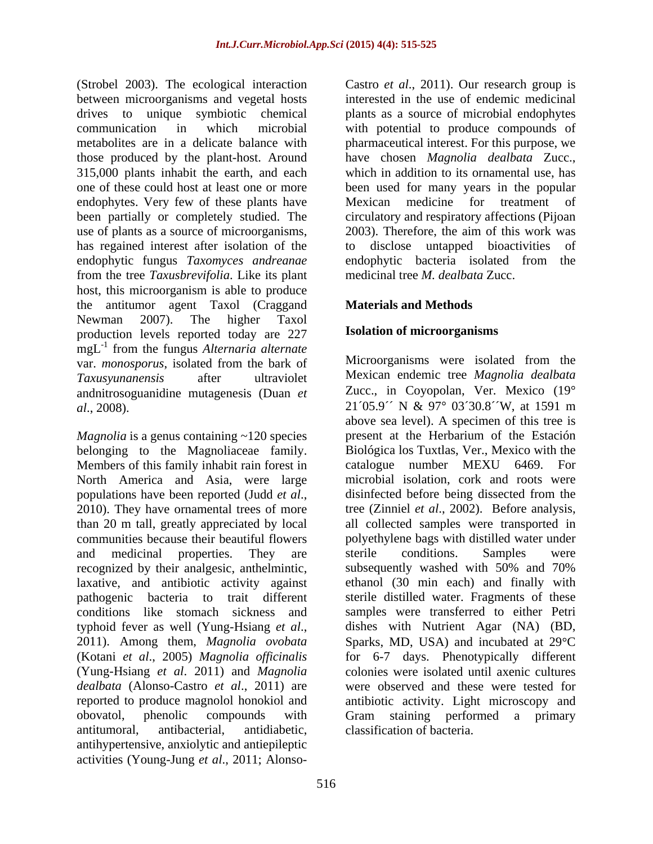(Strobel 2003). The ecological interaction Castro et al., 2011). Our research group is between microorganisms and vegetal hosts interested in the use of endemic medicinal drives to unique symbiotic chemical plants as a source of microbial endophytes communication in which microbial with potential to produce compounds of metabolites are in a delicate balance with pharmaceutical interest. For this purpose, we those produced by the plant-host. Around 315,000 plants inhabit the earth, and each which in addition to its ornamental use, has one of these could host at least one or more been used for many years in the popular endophytes. Very few of these plants have Mexican medicine for treatment of been partially or completely studied. The use of plants as a source of microorganisms, 2003). Therefore, the aim of this work was has regained interest after isolation of the to disclose untapped bioactivities of endophytic fungus *Taxomyces andreanae* endophytic bacteria isolated from the from the tree *Taxusbrevifolia*. Like its plant host, this microorganism is able to produce the antitumor agent Taxol (Craggand Newman 2007). The higher Taxol production levels reported today are 227  $mgL^{-1}$  from the fungus *Alternaria alternate* from the fungus *Alternaria alternate* var. *monosporus*, isolated from the bark of andnitrosoguanidine mutagenesis (Duan *et* 

*Magnolia* is a genus containing ~120 species energy present at the Herbarium of the Estación belonging to the Magnoliaceae family. Members of this family inhabit rain forest in catalogue number MEXU 6469. For North America and Asia, were large than 20 m tall, greatly appreciated by local laxative, and antibiotic activity against (Yung-Hsiang *et al*. 2011) and *Magnolia*  obovatol, phenolic compounds with Gram staining performed a primary antitumoral, antibacterial, antidiabetic, classification of bacteria. antihypertensive, anxiolytic and antiepileptic

have chosen *Magnolia dealbata* Zucc., Mexican medicine for treatment of circulatory and respiratory affections (Pijoan disclose untapped bioactivities medicinal tree *M. dealbata* Zucc.

### **Materials and Methods**

### **Isolation of microorganisms**

*Taxusyunanensis* after ultraviolet Mexican endemic tree *Magnolia dealbata al*., 2008). 21´05.9´´ N & 97° 03´30.8´´W, at 1591 m populations have been reported (Judd *et al.*, disinfected before being dissected from the 2010). They have ornamental trees of more tree (Zinniel *et al.*, 2002). Before analysis, communities because their beautiful flowers polyethylene bags with distilled water under and medicinal properties. They are sterile conditions. Samples were recognized by their analgesic, anthelmintic, subsequently washed with 50% and 70% pathogenic bacteria to trait different sterile distilled water. Fragments of these conditions like stomach sickness and samples were transferred to either Petri typhoid fever as well (Yung-Hsiang *et al*., 2011). Among them, *Magnolia ovobata* (Kotani *et al*., 2005) *Magnolia of icinalis* for 6-7 days. Phenotypically different *dealbata* (Alonso-Castro *et al*., 2011) are were observed and these were tested for reported to produce magnolol honokiol and antibiotic activity. Light microscopy and (Strong) 2003). The conformed interaction is the conformed the conformed transformed interaction and the conformed interaction is a state of the<br>conformed interaction interaction interaction interaction interaction<br>and the Microorganisms were isolated from the Zucc., in Coyopolan, Ver. Mexico (19° above sea level). A specimen of this tree is present at the Herbarium of the Estación Biológica los Tuxtlas, Ver., Mexico with the catalogue number MEXU 6469. For microbial isolation, cork and roots were disinfected before being dissected from the tree (Zinniel *et al*., 2002). Before analysis, all collected samples were transported in sterile conditions. Samples were ethanol (30 min each) and finally with dishes with Nutrient Agar (NA) (BD, Sparks, MD, USA) and incubated at  $29^{\circ}$ C colonies were isolated until axenic cultures Gram staining performed a primary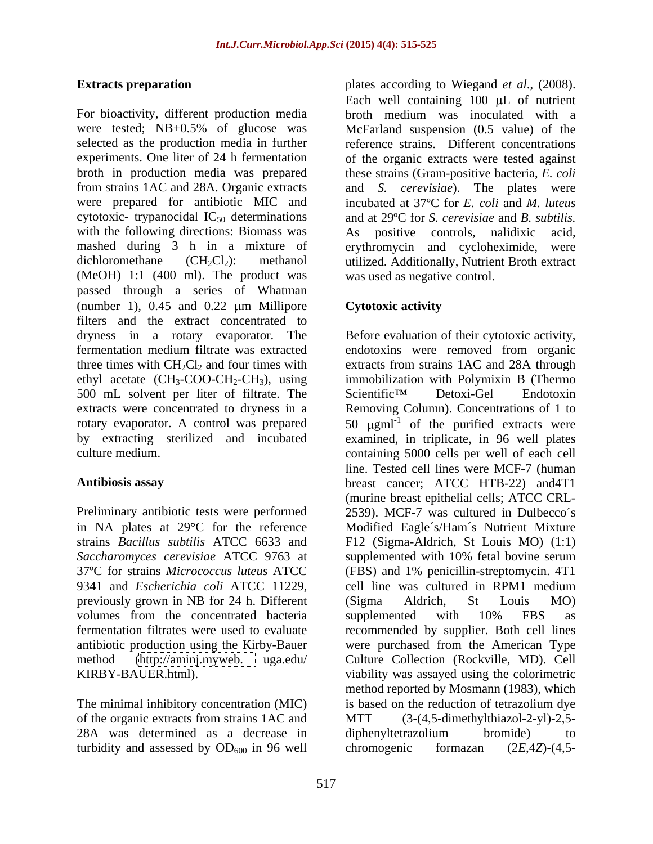cytotoxic- trypanocidal  $IC_{50}$  determinations with the following directions: Biomass was As positive controls, nalidixic acid. (MeOH) 1:1 (400 ml). The product was passed through a series of Whatman (number 1),  $0.45$  and  $0.22 \mu m$  Millipore Cytotoxic activity filters and the extract concentrated to 500 mL solvent per liter of filtrate. The Scientific<sup>TM</sup> Detoxi-Gel Endotoxin

Preliminary antibiotic tests were performed 9341 and *Escherichia coli* ATCC 11229, previously grown in NB for 24 h. Different volumes from the concentrated bacteria supplemented with 10% FBS as

of the organic extracts from strains 1AC and 28A was determined as a decrease in turbidity and assessed by  $OD_{600}$  in 96 well chromogenic formazan  $(2E, 4Z)$ - $(4,5$ -

**Extracts preparation** plates according to Wiegand *et al*., (2008). For bioactivity, different production media broth medium was inoculated with a were tested; NB+0.5% of glucose was McFarland suspension (0.5 value) of the selected as the production media in further reference strains. Different concentrations experiments. One liter of 24 h fermentation of the organic extracts were tested against broth in production media was prepared these strains (Gram-positive bacteria, *E. coli* from strains 1AC and 28A. Organic extracts and *S. cerevisiae*). The plates were were prepared for antibiotic MIC and incubated at 37ºC for *E. coli* and *M. luteus* mashed during 3 h in a mixture of erythromycin and cycloheximide, were dichloromethane (CH<sub>2</sub>Cl<sub>2</sub>): methanol utilized. Additionally, Nutrient Broth extract Each well containing  $100 \mu L$  of nutrient and at 29ºC for *S.cerevisiae* and *B. subtilis.* positive controls, nalidixic was used as negative control.

### **Cytotoxic activity**

dryness in a rotary evaporator. The Before evaluation of their cytotoxic activity, fermentation medium filtrate was extracted endotoxins were removed from organic three times with  $CH_2Cl_2$  and four times with extracts from strains 1AC and 28A through ethyl acetate (CH<sub>3</sub>-COO-CH<sub>2</sub>-CH<sub>3</sub>), using immobilization with Polymixin B (Thermo extracts were concentrated to dryness in a Removing Column). Concentrations of 1 to rotary evaporator. A control was prepared  $50 \, \mu \text{g} \text{m}^{-1}$  of the purified extracts were by extracting sterilized and incubated examined, in triplicate, in 96 well plates culture medium. containing 5000 cells per well of each cell **Antibiosis assay** breast cancer; ATCC HTB-22) and4T1 in NA plates at 29 C for the reference Modified Eagle´s/Ham´s Nutrient Mixture strains *Bacillus subtilis* ATCC 6633 and F12 (Sigma-Aldrich, St Louis MO) (1:1) *Saccharomyces cerevisiae* ATCC 9763 at supplemented with 10% fetal bovine serum 37ºC for strains *Micrococcus luteus* ATCC (FBS) and 1% penicillin-streptomycin. 4T1 fermentation filtrates were used to evaluate recommended by supplier.Both cell lines antibiotic production using the Kirby-Bauer were purchased from the American Type method [\(http://aminj.myweb.](http://aminj.myweb) uga.edu/ Culture Collection (Rockville, MD). Cell KIRBY-BAUER.html). viability was assayed using the colorimetric<br>method reported by Mosmann (1983), which<br>The minimal inhibitory concentration (MIC) is based on the reduction of tetrazolium dye Scientific<sup>TM</sup> Detoxi-Gel Endotoxin line. Tested cell lines were MCF-7 (human (murine breast epithelial cells; ATCC CRL- 2539). MCF-7 was cultured in Dulbecco´s cell line was cultured in RPM1 medium (Sigma Aldrich, St Louis MO) supplemented with 10% FBS as viability was assayed using the colorimetric method reported by Mosmann (1983), which is based on the reduction of tetrazolium dye  $(3-(4,5-dimethylthiazol-2-yl)-2,5$ diphenyltetrazolium bromide) to chromogenic formazan (2*E*,4*Z*)-(4,5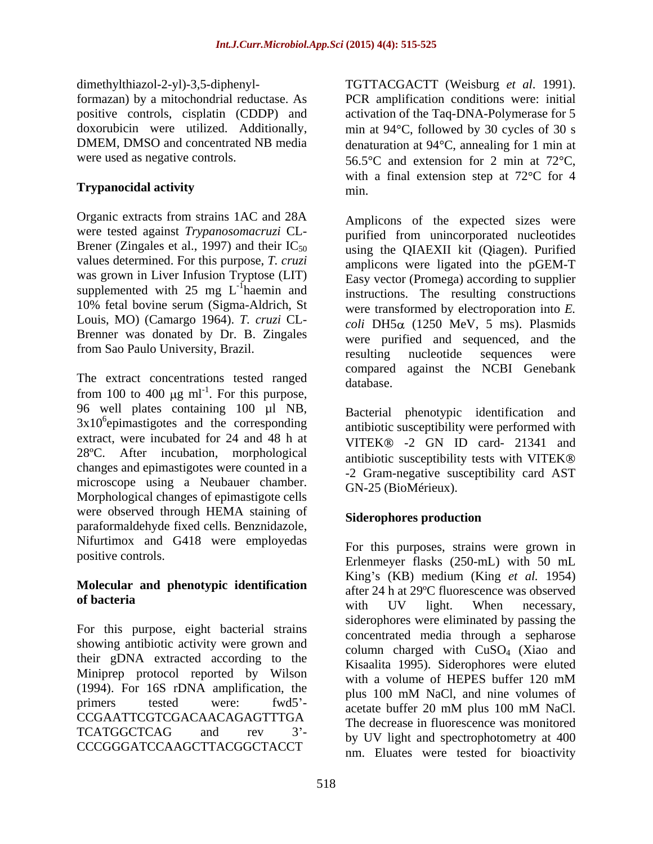dimethylthiazol-2-yl)-3,5-diphenyl-

Organic extracts from strains 1AC and 28A were tested against *Trypanosomacruzi* CL- Brener (Zingales et al., 1997) and their  $IC_{50}$ values determined. For this purpose, *T. cruzi* was grown in Liver Infusion Tryptose (LIT) supplemented with  $25 \text{ mg } L^{-1}$  haemin and 10% fetal bovine serum (Sigma-Aldrich, St Louis, MO) (Camargo 1964). *T. cruzi* CL- Brenner was donated by Dr. B. Zingales

The extract concentrations tested ranged database. from 100 to 400  $\mu$ g ml<sup>-1</sup>. For this purpose, 96 well plates containing 100 µl NB,  $3x10<sup>6</sup>$ epimastigotes and the corresponding extract, were incubated for 24 and 48 h at 28ºC. After incubation, morphological changes and epimastigotes were counted in a microscope using a Neubauer chamber. Morphological changes of epimastigote cells were observed through HEMA staining of **Siderophores production** paraformaldehyde fixed cells. Benznidazole, Nifurtimox and G418 were employedas

# **Molecular and phenotypic identification**

For this purpose, eight bacterial strains showing antibiotic activity were grown and their gDNA extracted according to the Miniprep protocol reported by Wilson with a volume of HEPES buffer 120 mM (1994). For 16S rDNA amplification, the plus 100 mM NaCl, and nine volumes of primers tested were: fwd5<sup>-</sup> acetate buffer 20 mM plus 100 mM NaCl. CCGAATTCGTCGACAACAGAGTTTGA The decrease in fluorecence was monitored  $TCATGGCTCAG$  and rev  $3'$ -  $b_{\text{V}}$  IIV light and spectrophotometry at  $400$ CCCGGGATCCAAGCTTACGGCTACCT

formazan) by a mitochondrial reductase. As PCR amplification conditions were: initial positive controls, cisplatin (CDDP) and activation of the Taq-DNA-Polymerase for 5 doxorubicin were utilized. Additionally, min at  $94^{\circ}$ C, followed by 30 cycles of 30 s DMEM, DMSO and concentrated NB media denaturation at 94 °C, annealing for 1 min at were used as negative controls.  $56.5^{\circ}$ C and extension for 2 min at 72 $^{\circ}$ C, **Trypanocidal activity** TGTTACGACTT (Weisburg *et al*. 1991). with a final extension step at  $72^{\circ}$ C for 4 min.

hemin end<br>hemin end haemin and instructions. The resulting constructions from Sao Paulo University, Brazil.<br>
resulting nucleotide sequences were Amplicons of the expected sizes were purified from unincorporated nucleotides using the QIAEXII kit (Qiagen). Purified amplicons were ligated into the pGEM-T Easy vector (Promega) according to supplier were transformed by electroporation into *E.*   $coli$  DH5 $\alpha$  (1250 MeV, 5 ms). Plasmids were purified and sequenced, and the resulting nucleotide sequences were compared against the NCBI Genebank database.

epimastigotes and the corresponding antibiotic susceptibility were performed with Bacterial phenotypic identification and VITEK® -2 GN ID card- 21341 and antibiotic susceptibility tests with VITEK -2 Gram-negative susceptibility card AST GN-25 (BioMérieux).

### **Siderophores production**

positive controls.<br>
Erlenmeyer flasks (250-mL) with 50 mL **of bacteria**<br>
with IIV light When necessary For this purposes, strains were grown in King s (KB) medium (King *et al.* 1954) after 24 h at 29ºC fluorescence was observed with UV light. When necessary, siderophores were eliminated by passing the concentrated media through a sepharose column charged with  $CuSO<sub>4</sub>$  (Xiao and Kisaalita 1995). Siderophores were eluted with a volume of HEPES buffer 120 mM plus 100 mM NaCl, and nine volumes of acetate buffer 20 mM plus 100 mM NaCl. The decrease in fluorescence was monitored by UV light and spectrophotometry at 400 nm. Eluates were tested for bioactivity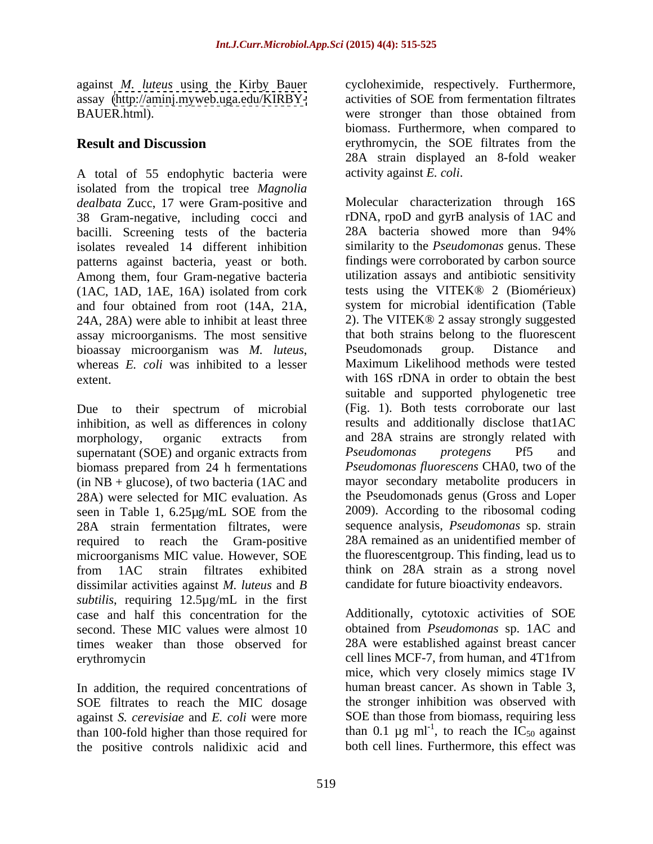BAUER.html). Were stronger than those obtained from

A total of 55 endophytic bacteria were isolated from the tropical tree *Magnolia dealbata* Zucc, 17 were Gram-positive and 38 Gram-negative, including cocci and rDNA, rpoD and gyrB analysis of 1AC and bacilli. Screening tests of the bacteria 28A bacteria showed more than 94% bacilli. Screening tests of the bacteria patterns against bacteria, yeast or both. Among them, four Gram-negative bacteria (1AC, 1AD, 1AE, 16A) isolated from cork 24A, 28A) were able to inhibit at least three assay microorganisms. The most sensitive that both strain<br>bioassay microorganism was  $M$  luteus Pseudomonads

Due to their spectrum of microbial inhibition, as well as differences in colony supernatant (SOE) and organic extracts from Pseudomonas protegens Pf5 and biomass prepared from 24 h fermentations  $(in NB + glucose)$ , of two bacteria (1AC and 28A strain fermentation filtrates, were microorganisms MIC value. However, SOE dissimilar activities against *M. luteus* and *B subtilis*, requiring 12.5µg/mL in the first case and half this concentration for the Additionally, cytotoxic activities of SOE second. These MIC values were almost 10 obtained from *Pseudomonas* sp. 1AC and times weaker than those observed for

In addition, the required concentrations of SOE filtrates to reach the MIC dosage against *S. cerevisiae* and *E. coli* were more the positive controls nalidixic acid and

against *M. luteus* using the Kirby Bauer cycloheximide, respectively. Furthermore, assay [\(http://aminj.myweb.uga.edu/KIRBY-](http://aminj.myweb.uga.edu/KIRBY-) activities of SOE from fermentation filtrates **Result and Discussion** erythromycin, the SOE filtrates from the were stronger than those obtained from biomass. Furthermore, when compared to 28A strain displayed an 8-fold weaker activity against *E. coli*.

isolates revealed 14 different inhibition similarity to the *Pseudomonas* genus. These and four obtained from root (14A, 21A, bioassay microorganism was *M. luteus*, Pseudomonads group. Distance and whereas *E. coli* was inhibited to a lesser Maximum Likelihood methods were tested extent. with 16S rDNA in order to obtain the best morphology, organic extracts from 28A) were selected for MIC evaluation. As the Pseudomonads genus (Gross and Loper seen in Table 1, 6.25µg/mL SOE from the 2009). According to the ribosomal coding required to reach the Gram-positive 28A remained as an unidentified member of from 1AC strain filtrates exhibited think on 28A strain as a strong novel Molecular characterization through 16S rDNA, rpoD and gyrB analysis of 1AC and 28A bacteria showed more than 94% findings were corroborated by carbon source utilization assays and antibiotic sensitivity tests using the VITEK® 2 (Biomérieux) system for microbial identification (Table 2). The VITEK® 2 assay strongly suggested that both strains belong to the fluorescent Pseudomonads group. Distance and Maximum Likelihood methods were tested suitable and supported phylogenetic tree (Fig. 1). Both tests corroborate our last results and additionally disclose that1AC and 28A strains are strongly related with *Pseudomonas protegens* Pf5 and *Pseudomonas fluorescens* CHA0, two of the mayor secondary metabolite producers in 2009). According to the ribosomal coding sequence analysis, *Pseudomonas* sp. strain the fluorescentgroup. This finding, lead us to candidate for future bioactivity endeavors.

erythromycin cell lines MCF-7, from human, and 4T1from than 100-fold higher than those required for than 0.1  $\mu$ g ml<sup>-1</sup>, to reach the IC<sub>50</sub> against 28A were established against breast cancer mice, which very closely mimics stage IV human breast cancer. As shown in Table 3, the stronger inhibition was observed with SOE than those from biomass, requiring less both cell lines. Furthermore, this effect was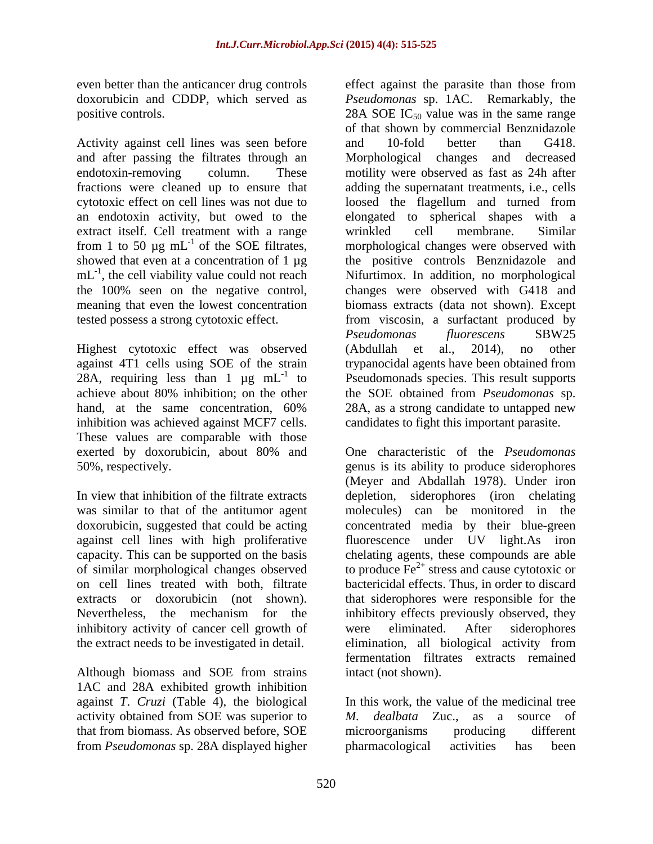even better than the anticancer drug controls effect against the parasite than those from

Activity against cell lines was seen before and 10-fold better than G418. extract itself. Cell treatment with a range wrinkled cell membrane. Similar from 1 to 50  $\mu$ g mL<sup>-1</sup> of the SOE filtrates,

Highest cytotoxic effect was observed (Abdullah et al., 2014), no other inhibition was achieved against MCF7 cells. These values are comparable with those

of similar morphological changes observed on cell lines treated with both, filtrate inhibitory activity of cancer cell growth of were eliminated. After siderophores

Although biomass and SOE from strains 1AC and 28A exhibited growth inhibition against *T. Cruzi* (Table 4), the biological activity obtained from SOE was superior to  $M$ . *dealbata* Zuc., as a source of that from biomass. As observed before, SOE from *Pseudomonas* sp. 28A displayed higher

doxorubicin and CDDP, which served as *Pseudomonas* sp. 1AC. Remarkably, the positive controls.  $28A SOE IC_{50}$  value was in the same range and after passing the filtrates through an Morphological changes and decreased endotoxin-removing column. These motility were observed as fast as 24h after fractions were cleaned up to ensure that adding the supernatant treatments, i.e., cells cytotoxic effect on cell lines was not due to loosed the flagellum and turned from an endotoxin activity, but owed to the elongated to spherical shapes with a <sup>-1</sup> of the SOE filtrates, morphological changes were observed with showed that even at a concentration of 1  $\mu$ g the positive controls Benznidazole and mL<sup>-1</sup>, the cell viability value could not reach Nifurtimox. In addition, no morphological the 100% seen on the negative control, changes were observed with G418 and meaning that even the lowest concentration biomass extracts (data not shown). Except tested possess a strong cytotoxic effect. from viscosin, a surfactant produced by against 4T1 cells using SOE of the strain trypanocidal agents have been obtained from 28A, requiring less than  $1 \mu g$  mL<sup>-1</sup> to Pseudomonads species. This result supports achieve about 80% inhibition; on the other the SOE obtained from *Pseudomonas* sp. hand, at the same concentration, 60% 28A, as a strong candidate to untapped new of that shown by commercial Benznidazole and 10-fold better than G418. wrinkled cell membrane. Similar *Pseudomonas fluorescens* SBW25 (Abdullah et al., 2014), no other 28A, as a strong candidate to untapped new candidates to fight this important parasite.

exerted by doxorubicin, about 80% and One characteristic of the *Pseudomonas* 50%, respectively. genus is its ability to produce siderophores In view that inhibition of the filtrate extracts depletion, siderophores (iron chelating was similar to that of the antitumor agent molecules) can be monitored in the doxorubicin, suggested that could be acting concentrated media by their blue-green against cell lines with high proliferative fluorescence under UV light.As iron capacity. This can be supported on the basis chelating agents, these compounds are able extracts or doxorubicin (not shown). that siderophores were responsible for the Nevertheless, the mechanism for the inhibitory effects previously observed, they the extract needs to be investigated in detail. elimination, all biological activity from One characteristic of the *Pseudomonas* (Meyer and Abdallah 1978). Under iron to produce  $\overline{Fe}^{2+}$  stress and cause cytotoxic or bactericidal effects. Thus, in order to discard were eliminated. After siderophores fermentation filtrates extracts remained intact (not shown).

> In this work, the value of the medicinal tree *M. dealbata* Zuc., as a source of microorganisms producing different pharmacological activities has been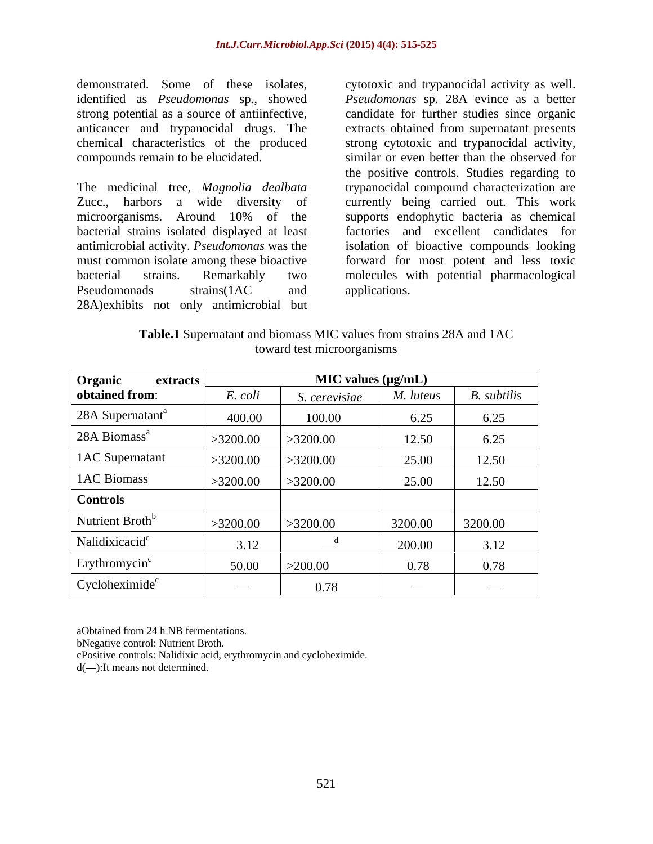demonstrated. Some of these isolates, cytotoxic and trypanocidal activity as well. identified as *Pseudomonas* sp*.*, showed *Pseudomonas* sp. 28A evince as a better strong potential as a source of antiinfective, candidate for further studies since organic anticancer and trypanocidal drugs. The extracts obtained from supernatant presents chemical characteristics of the produced strong cytotoxic and trypanocidal activity, compounds remain to be elucidated. similar or even better than the observed for

The medicinal tree, *Magnolia dealbata* trypanocidal compound characterization are Zucc., harbors a wide diversity of currently being carried out. This work microorganisms. Around 10% of the supports endophytic bacteria as chemical bacterial strains isolated displayed at least antimicrobial activity. *Pseudomonas* was the isolation of bioactive compounds looking must common isolate among these bioactive forward for most potent and less toxic bacterial strains. Remarkably two molecules with potential pharmacological Pseudomonads strains(1AC and applications. 28A)exhibits not only antimicrobial but

the positive controls. Studies regarding to factories and excellent candidates for applications.

**Table.1** Supernatant and biomass MIC values from strains 28A and 1AC toward test microorganisms

| Organic<br>extracts          | $MIC$ values ( $\mu g/mL$ ) |               |                          |                          |
|------------------------------|-----------------------------|---------------|--------------------------|--------------------------|
| obtained from:               | E. coli                     | S. cerevisiae | M. luteus                | B. subtilis              |
| 28A Supernatant <sup>a</sup> | 400.00                      | 100.00        | 6.25                     | 6.25                     |
| 28A Biomass <sup>a</sup>     | >3200.00                    | >3200.00      | 12.50                    | 6.25                     |
| 1AC Supernatant              | >3200.00                    | >3200.00      | 25.00                    | 12.50                    |
| 1AC Biomass                  | >3200.00                    | >3200.00      | 25.00                    | 12.50                    |
| <b>Controls</b>              |                             |               |                          |                          |
| Nutrient Broth <sup>b</sup>  | >3200.00                    | >3200.00      | 3200.00                  | 3200.00                  |
| Nalidixicacid <sup>c</sup>   | 3.12                        | $-$ "         | 200.00                   | 3.12                     |
| Erythromycin <sup>c</sup>    | 50.00                       | >200.00       | 0.78                     | 0.78                     |
| Cycloheximide <sup>c</sup>   | $\hspace{0.05cm}$           | 0.78          | $\overline{\phantom{a}}$ | $\overline{\phantom{a}}$ |

aObtained from 24 h NB fermentations.

bNegative control: Nutrient Broth.

cPositive controls: Nalidixic acid, erythromycin and cycloheximide.

d(-):It means not determined.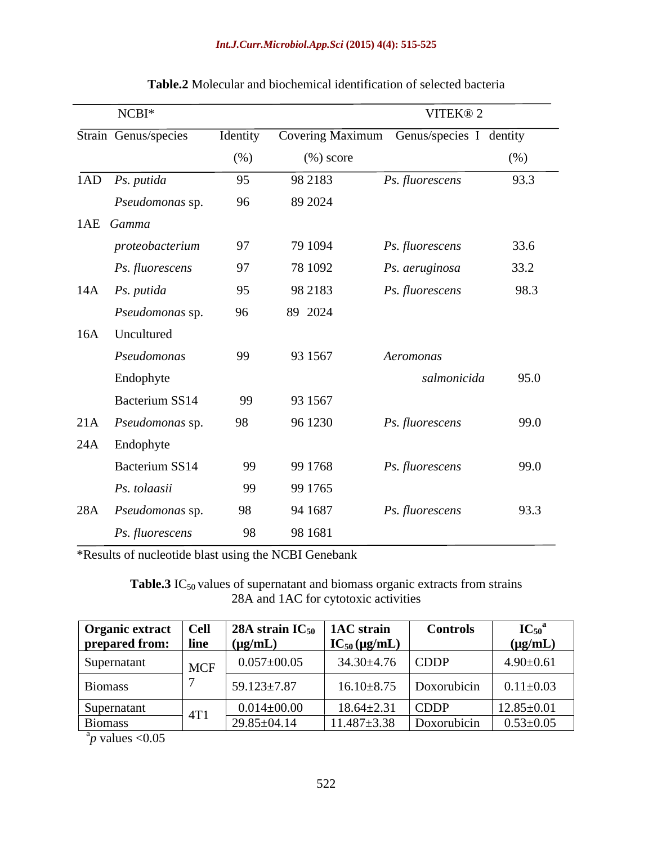### *Int.J.Curr.Microbiol.App.Sci* **(2015) 4(4): 515-525**

|     | $NCBI*$                 |          |                         | VITEK® 2                |      |
|-----|-------------------------|----------|-------------------------|-------------------------|------|
|     | Strain Genus/species    | Identity | <b>Covering Maximum</b> | Genus/species I dentity |      |
|     |                         | (%)      | $(\%)$ score            |                         | (%)  |
|     | $1AD$ <i>Ps. putida</i> | 95       | 98 21 83                | Ps. fluorescens         | 93.3 |
|     | Pseudomonas sp.         | 96       | 89 2024                 |                         |      |
|     | 1AE Gamma               |          |                         |                         |      |
|     | proteobacterium         | 97       | 79 1094                 | Ps. fluorescens         | 33.6 |
|     | Ps. fluorescens         | 97       | 78 1092                 | Ps. aeruginosa          | 33.2 |
|     | 14A Ps. putida          | 95       | 98 21 83                | Ps. fluorescens         | 98.3 |
|     | Pseudomonas sp.         | 96       | 89 2024                 |                         |      |
|     | 16A Uncultured          |          |                         |                         |      |
|     | Pseudomonas             | 99       | 93 1567                 | Aeromonas               |      |
|     | Endophyte               |          |                         | salmonicida             | 95.0 |
|     | Bacterium SS14          | 99       | 93 1567                 |                         |      |
|     | 21A Pseudomonas sp.     | 98       | 96 1230                 | Ps. fluorescens         | 99.0 |
|     | 24A Endophyte           |          |                         |                         |      |
|     | Bacterium SS14          | 99       | 99 1768                 | Ps. fluorescens         | 99.0 |
|     | Ps. tolaasii            | 99       | 99 1765                 |                         |      |
| 28A | Pseudomonas sp.         | 98       | 94 1687                 | Ps. fluorescens         | 93.3 |
|     | Ps. fluorescens         | 98       | 98 1681                 |                         |      |
|     |                         |          |                         |                         |      |

### **Table.2** Molecular and biochemical identification of selected bacteria

\*Results of nucleotide blast using the NCBI Genebank

**Table.3** IC<sub>50</sub> values of supernatant and biomass organic extracts from strains 28A and 1AC for cytotoxic activities

| <b>Organic extract</b><br>prepared from: | $ $ Cell<br>  line | 28A strain $IC_{50}$   1AC strain<br>$(\mu g/mL)$ | $IC_{50}(\mu g/mL)$ | <b>Controls</b> | ${IC}_{50}^{\circ}$<br>$\mu$ g/mL) |
|------------------------------------------|--------------------|---------------------------------------------------|---------------------|-----------------|------------------------------------|
| Supernatant                              | <b>MCF</b>         | $0.057 \pm 00.05$                                 | 34.30±4.76          | $\mathsf{CDDP}$ | $4.90 \pm 0.61$                    |
| Biomass                                  |                    | $59.123 \pm 7.87$                                 | $16.10 \pm 8.75$    | Doxorubicin     | $0.11 \pm 0.03$                    |
| Supernatant                              | 4T                 | $0.014 \pm 00.00$                                 | $18.64 \pm 2.31$    | $\Box$ CDDP     | $12.85 \pm 0.01$                   |
| Biomass                                  |                    | $29.85 \pm 04.14$                                 | $11.487 \pm 3.38$   | Doxorubicin     | $0.53 \pm 0.05$                    |

 $a_p$  values <0.05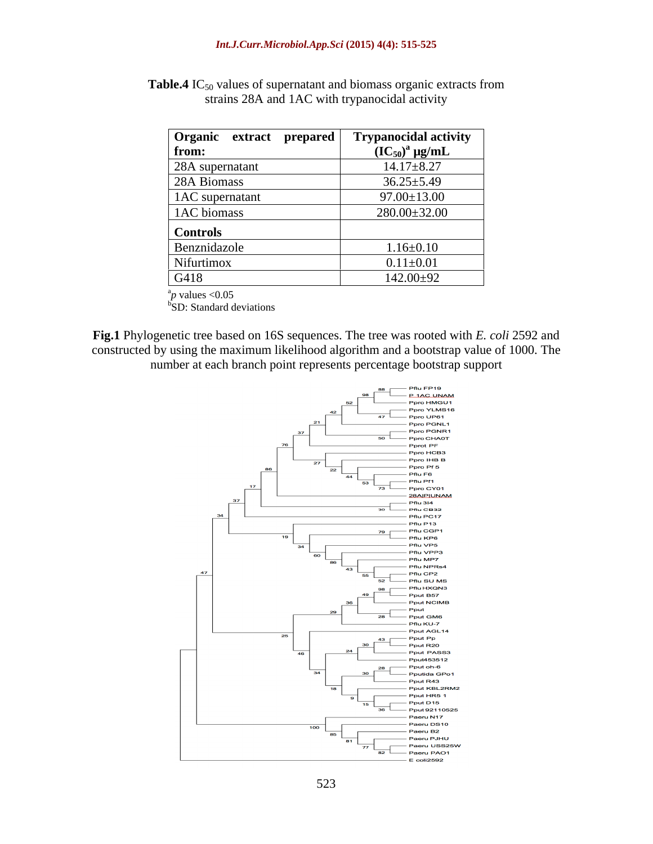| Organic extract prepared | <b>Trypanocidal activity</b>                    |
|--------------------------|-------------------------------------------------|
| from:                    | $\overline{\text{ (IC}_{50})^{\text{a}}}$ µg/mL |
| 28A supernatant          | $14.17 \pm 8.27$                                |
| 28A Biomass              | $36.25 \pm 5.49$                                |
| 1AC supernatant          | $97.00 \pm 13.00$                               |
| 1AC biomass              | $280.00 \pm 32.00$                              |
| <b>Controls</b>          |                                                 |
| Benznidazole             | $1.16 \pm 0.10$                                 |
| Nifurtimox               | $0.11 \pm 0.01$                                 |
| G418                     | $142.00 \pm 92$                                 |

**Table.4** IC<sub>50</sub> values of supernatant and biomass organic extracts from strains 28A and 1AC with trypanocidal activity

 $a_p$  values  $\leq 0.05$ 

 $b$ SD: Standard deviations

**Fig.1** Phylogenetic tree based on 16S sequences. The tree was rooted with *E. coli* 2592 and constructed by using the maximum likelihood algorithm and a bootstrap value of 1000. The number at each branch point represents percentage bootstrap support

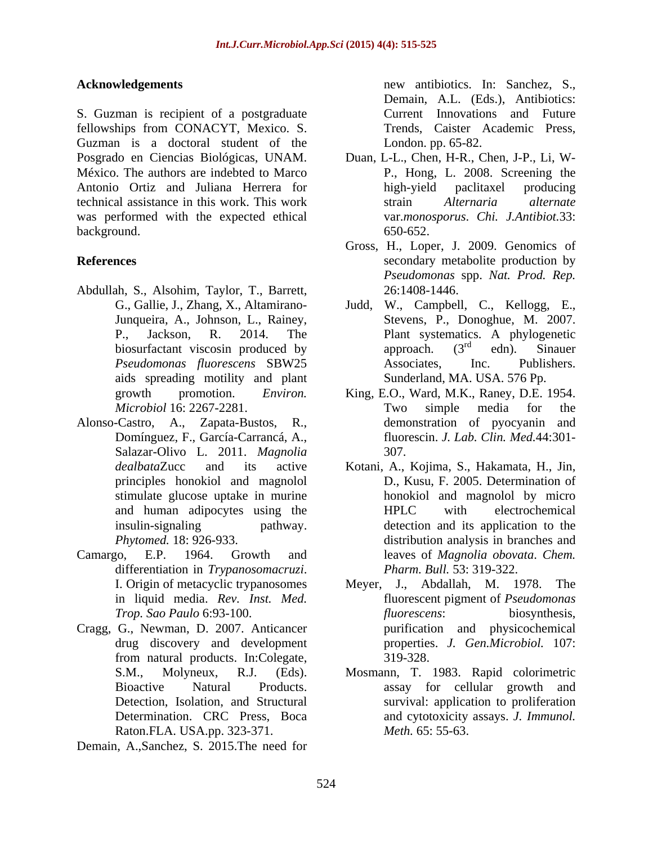S. Guzman is recipient of a postgraduate fellowships from CONACYT, Mexico. S. Guzman is a doctoral student of the Posgrado en Ciencias Biológicas, UNAM. Duan, L-L., Chen, H-R., Chen, J-P., Li, W- México. The authors are indebted to Marco Antonio Ortiz and Juliana Herrera for technical assistance in this work. This work was performed with the expected ethical background. 650-652.

- Abdullah, S., Alsohim, Taylor, T., Barrett, aids spreading motility and plant
- Alonso-Castro, A., Zapata-Bustos, R., Domínguez, F., García-Carrancá, A., Salazar-Olivo L. 2011. *Magnolia*
- differentiation in *Trypanosomacruzi*. <br>I. Origin of metacyclic trypanosomes Meyer, J., Abdallah, M. 1978. The
- Cragg, G., Newman, D. 2007. Anticancer Raton.FLA. USA.pp. 323-371.
- Demain, A.,Sanchez, S. 2015.The need for

**Acknowledgements**  new antibiotics. In: Sanchez, S., Demain, A.L. (Eds.), Antibiotics: Current Innovations and Future Trends, Caister Academic Press, London. pp. 65-82.

- P., Hong, L. 2008. Screening the high-yield paclitaxel producing strain *Alternaria alternate* var.*monosporus*. *Chi. J.Antibiot.*33: 650-652.
- **References** secondary metabolite production by Gross, H., Loper, J. 2009. Genomics of *Pseudomonas* spp. *Nat. Prod. Rep.* 26:1408-1446.
	- G., Gallie, J., Zhang, X., Altamirano- Judd, W., Campbell, C., Kellogg, E., Junqueira, A., Johnson, L., Rainey, Stevens, P., Donoghue, M. 2007. P., Jackson, R. 2014. The Plant systematics. A phylogenetic biosurfactant viscosin produced by  $\overrightarrow{approach}$ .  $(3^{rd}$  edn). Sinauer *Pseudomonas fluorescens* SBW25 approach.  $(3^{rd}$  edn). Sinauer  $r d$  adm  $\lim_{n \to \infty}$ edn). Sinauer Associates, Inc. Publishers. Sunderland, MA. USA. 576 Pp.
	- growth promotion. *Environ.*  King, E.O., Ward, M.K., Raney, D.E. 1954. *Microbiol* 16: 2267-2281. Two simple media for the demonstration of pyocyanin and fluorescin. *J. Lab. Clin. Med.*44:301- 307.
- *dealbata*Zucc and its active Kotani, A., Kojima, S., Hakamata, H., Jin, principles honokiol and magnolol D., Kusu, F. 2005. Determination of stimulate glucose uptake in murine honokiol and magnolol by micro and human adipocytes using the HPLC with electrochemical insulin-signaling pathway. detection and its application to the *Phytomed.* 18: 926-933. distribution analysis in branches and Camargo, E.P. 1964. Growth and leaves of *Magnolia obovata*. *Chem.*  HPLC with electrochemical *Pharm. Bull.* 53: 319-322.
	- in liquid media. *Rev. Inst. Med.* fluorescent pigment of *Pseudomonas Trop. Sao Paulo* 6:93-100. drug discovery and development properties. *J. Gen.Microbiol.* 107: from natural products. In:Colegate, 319-328. Meyer, J., Abdallah, M. 1978. The *fluorescens*: biosynthesis, purification and physicochemical 319-328.
	- S.M., Molyneux, R.J. (Eds). Mosmann, T. 1983. Rapid colorimetric Bioactive Natural Products. assay for cellular growth and Detection, Isolation, and Structural survival: application to proliferation Determination. CRC Press, Boca and cytotoxicity assays. *J. Immunol. Meth.* 65: 55-63.